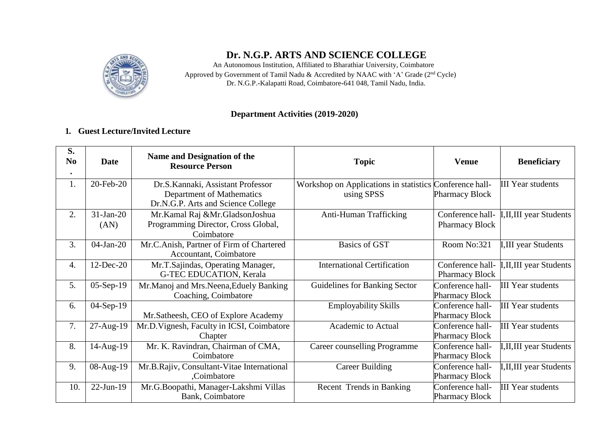

## **Dr. N.G.P. ARTS AND SCIENCE COLLEGE**

An Autonomous Institution, Affiliated to Bharathiar University, Coimbatore Approved by Government of Tamil Nadu & Accredited by NAAC with 'A' Grade (2<sup>nd</sup> Cycle) Dr. N.G.P.**-**Kalapatti Road, Coimbatore**-**641 048, Tamil Nadu, India.

#### **Department Activities (2019-2020)**

#### **1. Guest Lecture/Invited Lecture**

| S.<br>N <sub>0</sub><br>$\bullet$ | <b>Date</b>         | Name and Designation of the<br><b>Resource Person</b>                               | <b>Topic</b>                                            | <b>Venue</b>                              | <b>Beneficiary</b>       |
|-----------------------------------|---------------------|-------------------------------------------------------------------------------------|---------------------------------------------------------|-------------------------------------------|--------------------------|
| 1.                                | 20-Feb-20           | Dr.S.Kannaki, Assistant Professor                                                   | Workshop on Applications in statistics Conference hall- |                                           | <b>III Year students</b> |
|                                   |                     | Department of Mathematics<br>Dr.N.G.P. Arts and Science College                     | using SPSS                                              | <b>Pharmacy Block</b>                     |                          |
| 2.                                | $31-Jan-20$<br>(AN) | Mr.Kamal Raj &Mr.GladsonJoshua<br>Programming Director, Cross Global,<br>Coimbatore | Anti-Human Trafficking                                  | Conference hall-<br><b>Pharmacy Block</b> | I, II, III year Students |
| 3.                                | $04$ -Jan-20        | Mr.C.Anish, Partner of Firm of Chartered<br>Accountant, Coimbatore                  | <b>Basics of GST</b>                                    | Room No:321                               | I, III year Students     |
| $\overline{4}$ .                  | $12$ -Dec-20        | Mr.T.Sajindas, Operating Manager,<br>G-TEC EDUCATION, Kerala                        | <b>International Certification</b>                      | Conference hall-<br><b>Pharmacy Block</b> | I, II, III year Students |
| 5.                                | 05-Sep-19           | Mr. Manoj and Mrs. Neena, Eduely Banking<br>Coaching, Coimbatore                    | Guidelines for Banking Sector                           | Conference hall-<br><b>Pharmacy Block</b> | <b>III Year students</b> |
| 6.                                | $04-Sep-19$         | Mr.Satheesh, CEO of Explore Academy                                                 | <b>Employability Skills</b>                             | Conference hall-<br><b>Pharmacy Block</b> | <b>III Year students</b> |
| 7.                                | 27-Aug-19           | Mr.D. Vignesh, Faculty in ICSI, Coimbatore<br>Chapter                               | Academic to Actual                                      | Conference hall-<br><b>Pharmacy Block</b> | <b>III Year students</b> |
| 8.                                | 14-Aug-19           | Mr. K. Ravindran, Chairman of CMA,<br>Coimbatore                                    | Career counselling Programme                            | Conference hall-<br><b>Pharmacy Block</b> | I, II, III year Students |
| 9.                                | 08-Aug-19           | Mr.B.Rajiv, Consultant-Vitae International<br>,Coimbatore                           | <b>Career Building</b>                                  | Conference hall-<br><b>Pharmacy Block</b> | I,II,III year Students   |
| 10.                               | $22$ -Jun-19        | Mr.G.Boopathi, Manager-Lakshmi Villas<br>Bank, Coimbatore                           | Recent Trends in Banking                                | Conference hall-<br><b>Pharmacy Block</b> | <b>III Year students</b> |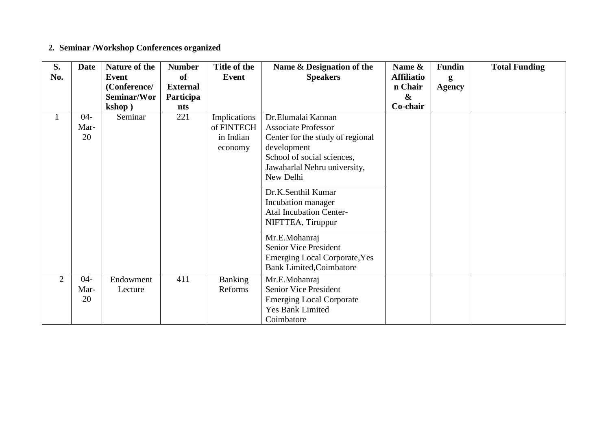# **2. Seminar /Workshop Conferences organized**

| S.<br>No.      | Date   | Nature of the<br>Event | <b>Number</b><br>of | Title of the<br>Event | Name & Designation of the<br><b>Speakers</b> | Name &<br><b>Affiliatio</b> | <b>Fundin</b><br>g | <b>Total Funding</b> |
|----------------|--------|------------------------|---------------------|-----------------------|----------------------------------------------|-----------------------------|--------------------|----------------------|
|                |        | (Conference/           | <b>External</b>     |                       |                                              | n Chair                     | <b>Agency</b>      |                      |
|                |        | Seminar/Wor            | Participa           |                       |                                              | $\boldsymbol{\&}$           |                    |                      |
|                |        | kshop)                 | nts                 |                       |                                              | Co-chair                    |                    |                      |
| $\mathbf{1}$   | $04 -$ | Seminar                | 221                 | Implications          | Dr.Elumalai Kannan                           |                             |                    |                      |
|                | Mar-   |                        |                     | of FINTECH            | <b>Associate Professor</b>                   |                             |                    |                      |
|                | 20     |                        |                     | in Indian             | Center for the study of regional             |                             |                    |                      |
|                |        |                        |                     | economy               | development                                  |                             |                    |                      |
|                |        |                        |                     |                       | School of social sciences,                   |                             |                    |                      |
|                |        |                        |                     |                       | Jawaharlal Nehru university,                 |                             |                    |                      |
|                |        |                        |                     |                       | New Delhi                                    |                             |                    |                      |
|                |        |                        |                     |                       | Dr.K.Senthil Kumar                           |                             |                    |                      |
|                |        |                        |                     |                       | Incubation manager                           |                             |                    |                      |
|                |        |                        |                     |                       | <b>Atal Incubation Center-</b>               |                             |                    |                      |
|                |        |                        |                     |                       | NIFTTEA, Tiruppur                            |                             |                    |                      |
|                |        |                        |                     |                       | Mr.E.Mohanraj                                |                             |                    |                      |
|                |        |                        |                     |                       | <b>Senior Vice President</b>                 |                             |                    |                      |
|                |        |                        |                     |                       | <b>Emerging Local Corporate, Yes</b>         |                             |                    |                      |
|                |        |                        |                     |                       | <b>Bank Limited, Coimbatore</b>              |                             |                    |                      |
| $\overline{2}$ | $04 -$ | Endowment              | 411                 | Banking               | Mr.E.Mohanraj                                |                             |                    |                      |
|                | Mar-   | Lecture                |                     | Reforms               | <b>Senior Vice President</b>                 |                             |                    |                      |
|                | 20     |                        |                     |                       | <b>Emerging Local Corporate</b>              |                             |                    |                      |
|                |        |                        |                     |                       | <b>Yes Bank Limited</b>                      |                             |                    |                      |
|                |        |                        |                     |                       | Coimbatore                                   |                             |                    |                      |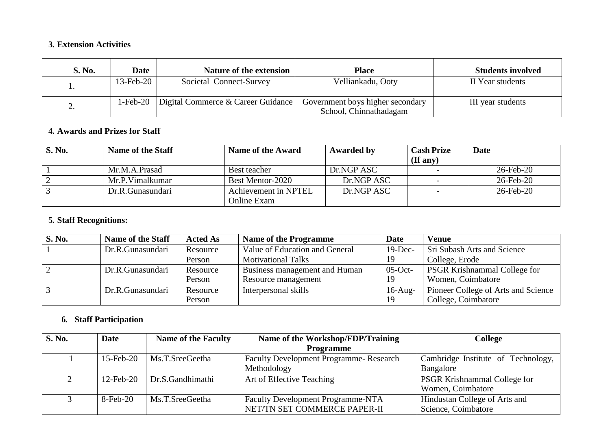#### **3. Extension Activities**

| <b>S. No.</b> | <b>Date</b>  | Nature of the extension            | <b>Place</b>                                               | <b>Students involved</b> |
|---------------|--------------|------------------------------------|------------------------------------------------------------|--------------------------|
|               | $13$ -Feb-20 | Societal Connect-Survey            | Velliankadu, Ooty                                          | II Year students         |
| ∠.            | $1-Feb-20$   | Digital Commerce & Career Guidance | Government boys higher secondary<br>School, Chinnathadagam | III year students        |

#### **4. Awards and Prizes for Staff**

| <b>S. No.</b> | <b>Name of the Staff</b> | Name of the Award                   | <b>Awarded by</b> | <b>Cash Prize</b><br>$(\mathbf{If any})$ | Date         |
|---------------|--------------------------|-------------------------------------|-------------------|------------------------------------------|--------------|
|               | Mr.M.A.Prasad            | Best teacher                        | Dr.NGP ASC        |                                          | $26$ -Feb-20 |
|               | Mr.P.Vimalkumar          | Best Mentor-2020                    | Dr.NGP ASC        |                                          | $26$ -Feb-20 |
|               | Dr.R.Gunasundari         | Achievement in NPTEL<br>Online Exam | Dr.NGP ASC        |                                          | 26-Feb-20    |

### **5. Staff Recognitions:**

| S. No. | <b>Name of the Staff</b> | <b>Acted As</b> | <b>Name of the Programme</b>   | Date       | <b>Venue</b>                        |
|--------|--------------------------|-----------------|--------------------------------|------------|-------------------------------------|
|        | Dr.R.Gunasundari         | Resource        | Value of Education and General | $19$ -Dec- | <b>Sri Subash Arts and Science</b>  |
|        |                          | Person          | <b>Motivational Talks</b>      | 19         | College, Erode                      |
|        | Dr.R.Gunasundari         | Resource        | Business management and Human  | $05$ -Oct- | <b>PSGR Krishnammal College for</b> |
|        |                          | Person          | Resource management            | 19         | Women, Coimbatore                   |
|        | Dr.R.Gunasundari         | Resource        | Interpersonal skills           | $16$ -Aug- | Pioneer College of Arts and Science |
|        |                          | Person          |                                | 19         | College, Coimbatore                 |

#### **6. Staff Participation**

| <b>S. No.</b> | Date         | <b>Name of the Faculty</b> | Name of the Workshop/FDP/Training             | <b>College</b>                      |
|---------------|--------------|----------------------------|-----------------------------------------------|-------------------------------------|
|               |              |                            | <b>Programme</b>                              |                                     |
|               | $15$ -Feb-20 | Ms.T.SreeGeetha            | <b>Faculty Development Programme-Research</b> | Cambridge Institute of Technology,  |
|               |              |                            | Methodology                                   | Bangalore                           |
|               | $12$ -Feb-20 | Dr.S.Gandhimathi           | Art of Effective Teaching                     | <b>PSGR Krishnammal College for</b> |
|               |              |                            |                                               | Women, Coimbatore                   |
|               | 8-Feb-20     | Ms.T.SreeGeetha            | <b>Faculty Development Programme-NTA</b>      | Hindustan College of Arts and       |
|               |              |                            | NET/TN SET COMMERCE PAPER-II                  | Science, Coimbatore                 |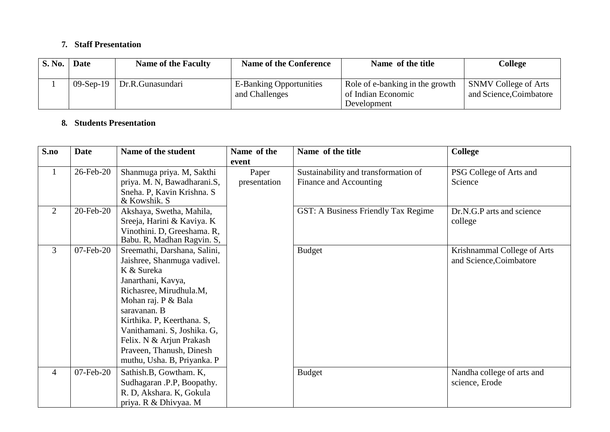#### **7. Staff Presentation**

| <b>S. No.</b> | <b>Date</b> | <b>Name of the Faculty</b> | <b>Name of the Conference</b>                    | Name of the title                                                    | College                                                |
|---------------|-------------|----------------------------|--------------------------------------------------|----------------------------------------------------------------------|--------------------------------------------------------|
|               | $09-Sep-19$ | Dr.R.Gunasundari           | <b>E-Banking Opportunities</b><br>and Challenges | Role of e-banking in the growth<br>of Indian Economic<br>Development | <b>SNMV</b> College of Arts<br>and Science, Coimbatore |

#### **8. Students Presentation**

| S.no           | <b>Date</b>  | Name of the student                                                                                                                                                                                                                                                                                                   | Name of the           | Name of the title                                              | <b>College</b>                                         |
|----------------|--------------|-----------------------------------------------------------------------------------------------------------------------------------------------------------------------------------------------------------------------------------------------------------------------------------------------------------------------|-----------------------|----------------------------------------------------------------|--------------------------------------------------------|
|                |              |                                                                                                                                                                                                                                                                                                                       | event                 |                                                                |                                                        |
|                | 26-Feb-20    | Shanmuga priya. M, Sakthi<br>priya. M. N, Bawadharani.S,<br>Sneha. P, Kavin Krishna. S<br>& Kowshik. S                                                                                                                                                                                                                | Paper<br>presentation | Sustainability and transformation of<br>Finance and Accounting | PSG College of Arts and<br>Science                     |
| 2              | 20-Feb-20    | Akshaya, Swetha, Mahila,<br>Sreeja, Harini & Kaviya. K<br>Vinothini. D, Greeshama. R,<br>Babu. R, Madhan Ragvin. S,                                                                                                                                                                                                   |                       | GST: A Business Friendly Tax Regime                            | Dr.N.G.P arts and science<br>college                   |
| $\overline{3}$ | $07$ -Feb-20 | Sreemathi, Darshana, Salini,<br>Jaishree, Shanmuga vadivel.<br>K & Sureka<br>Janarthani, Kavya,<br>Richasree, Mirudhula.M,<br>Mohan raj. P & Bala<br>saravanan. B<br>Kirthika. P, Keerthana. S,<br>Vanithamani. S, Joshika. G,<br>Felix. N & Arjun Prakash<br>Praveen, Thanush, Dinesh<br>muthu, Usha. B, Priyanka. P |                       | <b>Budget</b>                                                  | Krishnammal College of Arts<br>and Science, Coimbatore |
| $\overline{4}$ | 07-Feb-20    | Sathish.B, Gowtham. K,<br>Sudhagaran .P.P, Boopathy.<br>R. D, Akshara. K, Gokula<br>priya. R & Dhivyaa. M                                                                                                                                                                                                             |                       | <b>Budget</b>                                                  | Nandha college of arts and<br>science, Erode           |